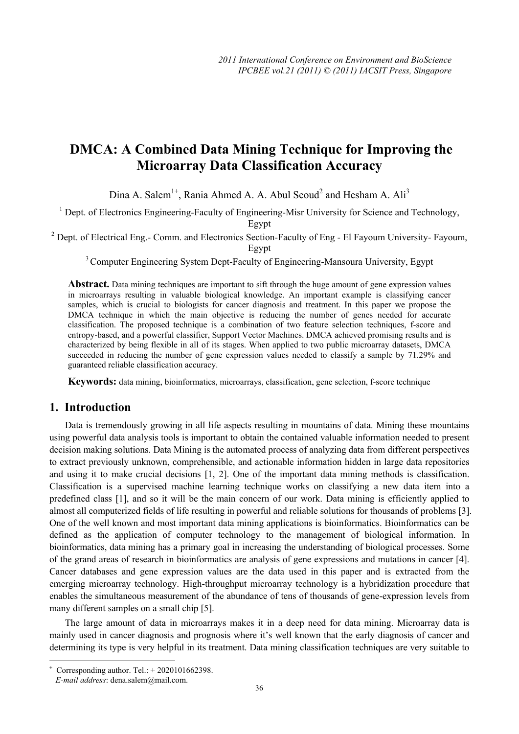# **DMCA: A Combined Data Mining Technique for Improving the Microarray Data Classification Accuracy**

Dina A. Salem<sup>1+</sup>, Rania Ahmed A. A. Abul Seoud<sup>2</sup> and Hesham A. Ali<sup>3</sup>

<sup>1</sup> Dept. of Electronics Engineering-Faculty of Engineering-Misr University for Science and Technology, Egypt

<sup>2</sup> Dept. of Electrical Eng.- Comm. and Electronics Section-Faculty of Eng - El Fayoum University- Fayoum, Egypt

<sup>3</sup> Computer Engineering System Dept-Faculty of Engineering-Mansoura University, Egypt

Abstract. Data mining techniques are important to sift through the huge amount of gene expression values in microarrays resulting in valuable biological knowledge. An important example is classifying cancer samples, which is crucial to biologists for cancer diagnosis and treatment. In this paper we propose the DMCA technique in which the main objective is reducing the number of genes needed for accurate classification. The proposed technique is a combination of two feature selection techniques, f-score and entropy-based, and a powerful classifier, Support Vector Machines. DMCA achieved promising results and is characterized by being flexible in all of its stages. When applied to two public microarray datasets, DMCA succeeded in reducing the number of gene expression values needed to classify a sample by 71.29% and guaranteed reliable classification accuracy.

**Keywords:** data mining, bioinformatics, microarrays, classification, gene selection, f-score technique

## **1. Introduction**

Data is tremendously growing in all life aspects resulting in mountains of data. Mining these mountains using powerful data analysis tools is important to obtain the contained valuable information needed to present decision making solutions. Data Mining is the automated process of analyzing data from different perspectives to extract previously unknown, comprehensible, and actionable information hidden in large data repositories and using it to make crucial decisions [1, 2]. One of the important data mining methods is classification. Classification is a supervised machine learning technique works on classifying a new data item into a predefined class [1], and so it will be the main concern of our work. Data mining is efficiently applied to almost all computerized fields of life resulting in powerful and reliable solutions for thousands of problems [3]. One of the well known and most important data mining applications is bioinformatics. Bioinformatics can be defined as the application of computer technology to the management of biological information. In bioinformatics, data mining has a primary goal in increasing the understanding of biological processes. Some of the grand areas of research in bioinformatics are analysis of gene expressions and mutations in cancer [4]. Cancer databases and gene expression values are the data used in this paper and is extracted from the emerging microarray technology. High-throughput microarray technology is a hybridization procedure that enables the simultaneous measurement of the abundance of tens of thousands of gene-expression levels from many different samples on a small chip [5].

The large amount of data in microarrays makes it in a deep need for data mining. Microarray data is mainly used in cancer diagnosis and prognosis where it's well known that the early diagnosis of cancer and determining its type is very helpful in its treatment. Data mining classification techniques are very suitable to

 $\overline{\phantom{a}}$ 

<sup>+</sup> Corresponding author. Tel.: + 2020101662398.

*E-mail address*: dena.salem@mail.com.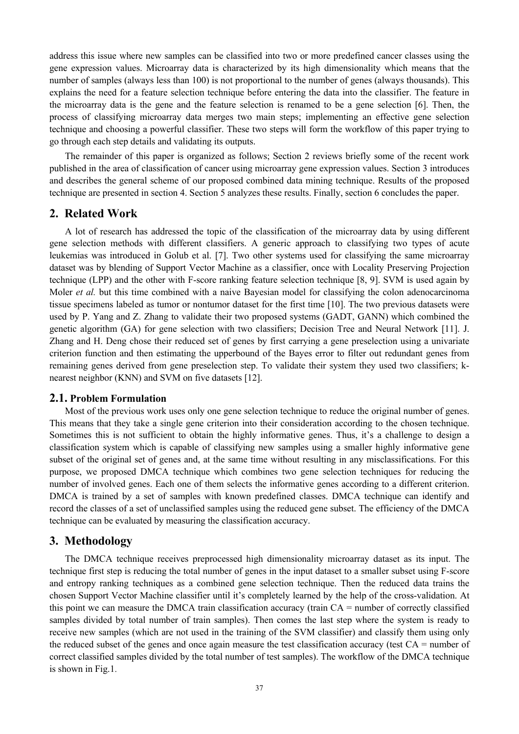address this issue where new samples can be classified into two or more predefined cancer classes using the gene expression values. Microarray data is characterized by its high dimensionality which means that the number of samples (always less than 100) is not proportional to the number of genes (always thousands). This explains the need for a feature selection technique before entering the data into the classifier. The feature in the microarray data is the gene and the feature selection is renamed to be a gene selection [6]. Then, the process of classifying microarray data merges two main steps; implementing an effective gene selection technique and choosing a powerful classifier. These two steps will form the workflow of this paper trying to go through each step details and validating its outputs.

The remainder of this paper is organized as follows; Section 2 reviews briefly some of the recent work published in the area of classification of cancer using microarray gene expression values. Section 3 introduces and describes the general scheme of our proposed combined data mining technique. Results of the proposed technique are presented in section 4. Section 5 analyzes these results. Finally, section 6 concludes the paper.

#### **2. Related Work**

A lot of research has addressed the topic of the classification of the microarray data by using different gene selection methods with different classifiers. A generic approach to classifying two types of acute leukemias was introduced in Golub et al. [7]. Two other systems used for classifying the same microarray dataset was by blending of Support Vector Machine as a classifier, once with Locality Preserving Projection technique (LPP) and the other with F-score ranking feature selection technique [8, 9]. SVM is used again by Moler *et al.* but this time combined with a naive Bayesian model for classifying the colon adenocarcinoma tissue specimens labeled as tumor or nontumor dataset for the first time [10]. The two previous datasets were used by P. Yang and Z. Zhang to validate their two proposed systems (GADT, GANN) which combined the genetic algorithm (GA) for gene selection with two classifiers; Decision Tree and Neural Network [11]. J. Zhang and H. Deng chose their reduced set of genes by first carrying a gene preselection using a univariate criterion function and then estimating the upperbound of the Bayes error to filter out redundant genes from remaining genes derived from gene preselection step. To validate their system they used two classifiers; knearest neighbor (KNN) and SVM on five datasets [12].

#### **2.1. Problem Formulation**

Most of the previous work uses only one gene selection technique to reduce the original number of genes. This means that they take a single gene criterion into their consideration according to the chosen technique. Sometimes this is not sufficient to obtain the highly informative genes. Thus, it's a challenge to design a classification system which is capable of classifying new samples using a smaller highly informative gene subset of the original set of genes and, at the same time without resulting in any misclassifications. For this purpose, we proposed DMCA technique which combines two gene selection techniques for reducing the number of involved genes. Each one of them selects the informative genes according to a different criterion. DMCA is trained by a set of samples with known predefined classes. DMCA technique can identify and record the classes of a set of unclassified samples using the reduced gene subset. The efficiency of the DMCA technique can be evaluated by measuring the classification accuracy.

### **3. Methodology**

The DMCA technique receives preprocessed high dimensionality microarray dataset as its input. The technique first step is reducing the total number of genes in the input dataset to a smaller subset using F-score and entropy ranking techniques as a combined gene selection technique. Then the reduced data trains the chosen Support Vector Machine classifier until it's completely learned by the help of the cross-validation. At this point we can measure the DMCA train classification accuracy (train  $CA =$  number of correctly classified samples divided by total number of train samples). Then comes the last step where the system is ready to receive new samples (which are not used in the training of the SVM classifier) and classify them using only the reduced subset of the genes and once again measure the test classification accuracy (test  $CA =$  number of correct classified samples divided by the total number of test samples). The workflow of the DMCA technique is shown in Fig.1.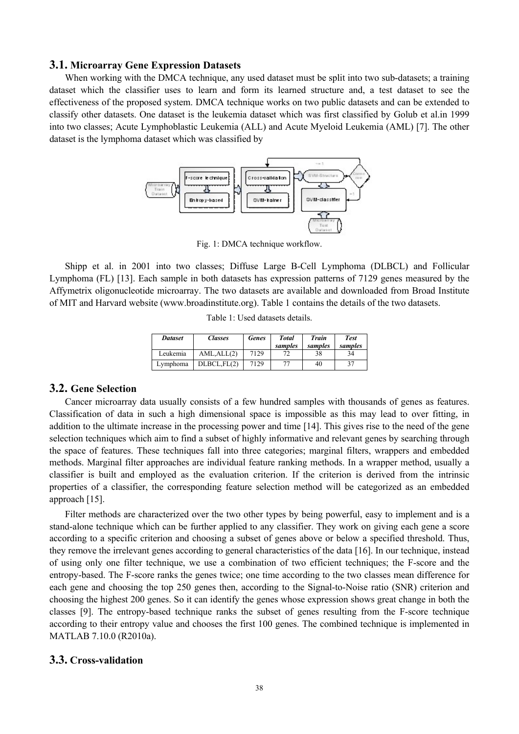#### **3.1. Microarray Gene Expression Datasets**

When working with the DMCA technique, any used dataset must be split into two sub-datasets; a training dataset which the classifier uses to learn and form its learned structure and, a test dataset to see the effectiveness of the proposed system. DMCA technique works on two public datasets and can be extended to classify other datasets. One dataset is the leukemia dataset which was first classified by Golub et al.in 1999 into two classes; Acute Lymphoblastic Leukemia (ALL) and Acute Myeloid Leukemia (AML) [7]. The other dataset is the lymphoma dataset which was classified by



Fig. 1: DMCA technique workflow.

Shipp et al. in 2001 into two classes; Diffuse Large B-Cell Lymphoma (DLBCL) and Follicular Lymphoma (FL) [13]. Each sample in both datasets has expression patterns of 7129 genes measured by the Affymetrix oligonucleotide microarray. The two datasets are available and downloaded from Broad Institute of MIT and Harvard website (www.broadinstitute.org). Table 1 contains the details of the two datasets.

Table 1: Used datasets details.

| <b>Dataset</b> | Classes     | <b>Genes</b> | <b>Total</b><br>samples | <b>Train</b><br>samples | <b>Test</b><br>samples |
|----------------|-------------|--------------|-------------------------|-------------------------|------------------------|
| Leukemia       | AML.ALL(2)  | 7129         | 77                      | 38                      | 34                     |
| Lymphoma       | DLBCL.FL(2) | 7129         | 77                      | 40                      | 37                     |

#### **3.2. Gene Selection**

Cancer microarray data usually consists of a few hundred samples with thousands of genes as features. Classification of data in such a high dimensional space is impossible as this may lead to over fitting, in addition to the ultimate increase in the processing power and time [14]. This gives rise to the need of the gene selection techniques which aim to find a subset of highly informative and relevant genes by searching through the space of features. These techniques fall into three categories; marginal filters, wrappers and embedded methods. Marginal filter approaches are individual feature ranking methods. In a wrapper method, usually a classifier is built and employed as the evaluation criterion. If the criterion is derived from the intrinsic properties of a classifier, the corresponding feature selection method will be categorized as an embedded approach [15].

Filter methods are characterized over the two other types by being powerful, easy to implement and is a stand-alone technique which can be further applied to any classifier. They work on giving each gene a score according to a specific criterion and choosing a subset of genes above or below a specified threshold. Thus, they remove the irrelevant genes according to general characteristics of the data [16]. In our technique, instead of using only one filter technique, we use a combination of two efficient techniques; the F-score and the entropy-based. The F-score ranks the genes twice; one time according to the two classes mean difference for each gene and choosing the top 250 genes then, according to the Signal-to-Noise ratio (SNR) criterion and choosing the highest 200 genes. So it can identify the genes whose expression shows great change in both the classes [9]. The entropy-based technique ranks the subset of genes resulting from the F-score technique according to their entropy value and chooses the first 100 genes. The combined technique is implemented in MATLAB 7.10.0 (R2010a).

#### **3.3. Cross-validation**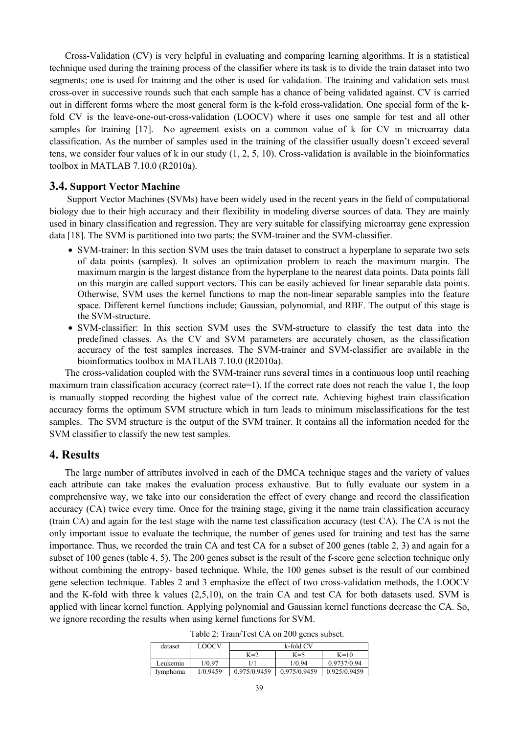Cross-Validation (CV) is very helpful in evaluating and comparing learning algorithms. It is a statistical technique used during the training process of the classifier where its task is to divide the train dataset into two segments; one is used for training and the other is used for validation. The training and validation sets must cross-over in successive rounds such that each sample has a chance of being validated against. CV is carried out in different forms where the most general form is the k-fold cross-validation. One special form of the kfold CV is the leave-one-out-cross-validation (LOOCV) where it uses one sample for test and all other samples for training [17]. No agreement exists on a common value of k for CV in microarray data classification. As the number of samples used in the training of the classifier usually doesn't exceed several tens, we consider four values of k in our study (1, 2, 5, 10). Cross-validation is available in the bioinformatics toolbox in MATLAB 7.10.0 (R2010a).

#### **3.4. Support Vector Machine**

Support Vector Machines (SVMs) have been widely used in the recent years in the field of computational biology due to their high accuracy and their flexibility in modeling diverse sources of data. They are mainly used in binary classification and regression. They are very suitable for classifying microarray gene expression data [18]. The SVM is partitioned into two parts; the SVM-trainer and the SVM-classifier.

- SVM-trainer: In this section SVM uses the train dataset to construct a hyperplane to separate two sets of data points (samples). It solves an optimization problem to reach the maximum margin. The maximum margin is the largest distance from the hyperplane to the nearest data points. Data points fall on this margin are called support vectors. This can be easily achieved for linear separable data points. Otherwise, SVM uses the kernel functions to map the non-linear separable samples into the feature space. Different kernel functions include; Gaussian, polynomial, and RBF. The output of this stage is the SVM-structure.
- SVM-classifier: In this section SVM uses the SVM-structure to classify the test data into the predefined classes. As the CV and SVM parameters are accurately chosen, as the classification accuracy of the test samples increases. The SVM-trainer and SVM-classifier are available in the bioinformatics toolbox in MATLAB 7.10.0 (R2010a).

The cross-validation coupled with the SVM-trainer runs several times in a continuous loop until reaching maximum train classification accuracy (correct rate=1). If the correct rate does not reach the value 1, the loop is manually stopped recording the highest value of the correct rate. Achieving highest train classification accuracy forms the optimum SVM structure which in turn leads to minimum misclassifications for the test samples. The SVM structure is the output of the SVM trainer. It contains all the information needed for the SVM classifier to classify the new test samples.

#### **4. Results**

The large number of attributes involved in each of the DMCA technique stages and the variety of values each attribute can take makes the evaluation process exhaustive. But to fully evaluate our system in a comprehensive way, we take into our consideration the effect of every change and record the classification accuracy (CA) twice every time. Once for the training stage, giving it the name train classification accuracy (train CA) and again for the test stage with the name test classification accuracy (test CA). The CA is not the only important issue to evaluate the technique, the number of genes used for training and test has the same importance. Thus, we recorded the train CA and test CA for a subset of 200 genes (table 2, 3) and again for a subset of 100 genes (table 4, 5). The 200 genes subset is the result of the f-score gene selection technique only without combining the entropy- based technique. While, the 100 genes subset is the result of our combined gene selection technique. Tables 2 and 3 emphasize the effect of two cross-validation methods, the LOOCV and the K-fold with three k values (2,5,10), on the train CA and test CA for both datasets used. SVM is applied with linear kernel function. Applying polynomial and Gaussian kernel functions decrease the CA. So, we ignore recording the results when using kernel functions for SVM.

|  | Table 2: Train/Test CA on 200 genes subset. |  |  |  |
|--|---------------------------------------------|--|--|--|
|--|---------------------------------------------|--|--|--|

| dataset  | LOOCV    | k-fold CV    |              |              |
|----------|----------|--------------|--------------|--------------|
|          |          | $K=2$        | $K=5$        | $K=10$       |
| Leukemia | 1/0.97   |              | 1/0.94       | 0.9737/0.94  |
| lymphoma | 1/0.9459 | 0.975/0.9459 | 0.975/0.9459 | 0.925/0.9459 |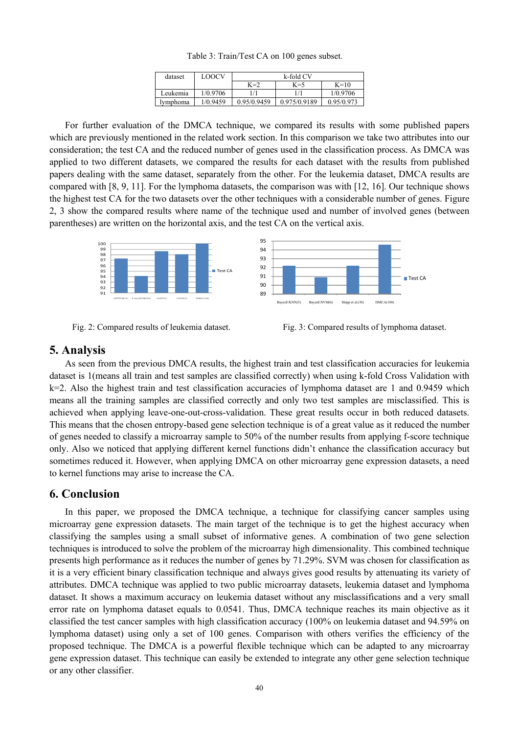| dataset  | LOOCV    | k-fold CV   |              |            |
|----------|----------|-------------|--------------|------------|
|          |          | $K=2$       | $K=5$        | $K=10$     |
| Leukemia | 1/0.9706 | 1/1         |              | 1/0.9706   |
| lymphoma | 1/0.9459 | 0.95/0.9459 | 0.975/0.9189 | 0.95/0.973 |

Table 3: Train/Test CA on 100 genes subset.

For further evaluation of the DMCA technique, we compared its results with some published papers which are previously mentioned in the related work section. In this comparison we take two attributes into our consideration; the test CA and the reduced number of genes used in the classification process. As DMCA was applied to two different datasets, we compared the results for each dataset with the results from published papers dealing with the same dataset, separately from the other. For the leukemia dataset, DMCA results are compared with [8, 9, 11]. For the lymphoma datasets, the comparison was with [12, 16]. Our technique shows the highest test CA for the two datasets over the other techniques with a considerable number of genes. Figure 2, 3 show the compared results where name of the technique used and number of involved genes (between parentheses) are written on the horizontal axis, and the test CA on the vertical axis.





## **5. Analysis**

As seen from the previous DMCA results, the highest train and test classification accuracies for leukemia dataset is 1(means all train and test samples are classified correctly) when using k-fold Cross Validation with k=2. Also the highest train and test classification accuracies of lymphoma dataset are 1 and 0.9459 which means all the training samples are classified correctly and only two test samples are misclassified. This is achieved when applying leave-one-out-cross-validation. These great results occur in both reduced datasets. This means that the chosen entropy-based gene selection technique is of a great value as it reduced the number of genes needed to classify a microarray sample to 50% of the number results from applying f-score technique only. Also we noticed that applying different kernel functions didn't enhance the classification accuracy but sometimes reduced it. However, when applying DMCA on other microarray gene expression datasets, a need to kernel functions may arise to increase the CA.

## **6. Conclusion**

In this paper, we proposed the DMCA technique, a technique for classifying cancer samples using microarray gene expression datasets. The main target of the technique is to get the highest accuracy when classifying the samples using a small subset of informative genes. A combination of two gene selection techniques is introduced to solve the problem of the microarray high dimensionality. This combined technique presents high performance as it reduces the number of genes by 71.29%. SVM was chosen for classification as it is a very efficient binary classification technique and always gives good results by attenuating its variety of attributes. DMCA technique was applied to two public microarray datasets, leukemia dataset and lymphoma dataset. It shows a maximum accuracy on leukemia dataset without any misclassifications and a very small error rate on lymphoma dataset equals to 0.0541. Thus, DMCA technique reaches its main objective as it classified the test cancer samples with high classification accuracy (100% on leukemia dataset and 94.59% on lymphoma dataset) using only a set of 100 genes. Comparison with others verifies the efficiency of the proposed technique. The DMCA is a powerful flexible technique which can be adapted to any microarray gene expression dataset. This technique can easily be extended to integrate any other gene selection technique or any other classifier.